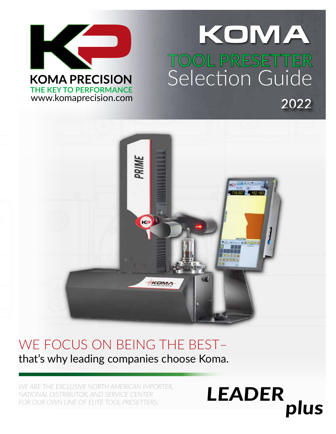

## KOMA .<br>مرکز بر **TOOL PRESETTER** Selection Guide **2022**

LEADER

plus



### WE FOCUS ON BEING THE BEST– that's why leading companies choose Koma.

*WE ARE THE EXCLUSIVE NORTH AMERICAN IMPORTER, NATIONAL DISTRIBUTOR, AND SERVICE CENTER*  FOR OUR OWN LINE OF ELITE TOOL PRESETTERS.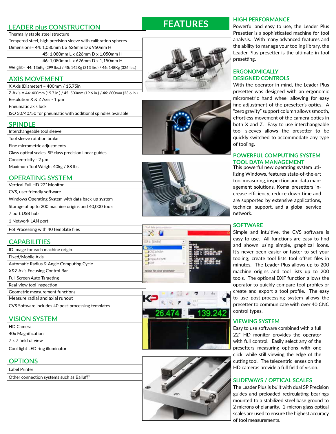#### **LEADER plus CONSTRUCTION**

#### Thermally stable steel structure

Tempered steel, high precision sleeve with calibration spheres Dimensions= **44**: 1,080mm L x 626mm D x 950mm H **45**: 1,080mm L x 626mm D x 1,050mm H

**46**: 1,080mm L x 626mm D x 1,150mm H

Weight= **44**: 136Kg (299 lbs.) / **45**: 142Kg (313 lbs.) / **46**: 148Kg (326 lbs.)

#### **AXIS MOVEMENT**

X Axis (Diameter) = 400mm / 15.75in

Z Axis = **44**: 400mm (15.7 in.) / **45**: 500mm (19.6 in.) / **46**: 600mm (23.6 in.)

Resolution X & Z Axis - 1 μm

Pneumatic axis lock

ISO 30/40/50 for pneumatic with additional spindles available

#### **SPINDLE**

| Interchangeable tool sleeve                            |
|--------------------------------------------------------|
| Tool sleeve rotation brake                             |
| Fine micrometric adjustments                           |
| Glass optical scales, SP class precision linear guides |
| Concentricity - 2 µm                                   |
| Maximum Tool Weight 40kg / 88 lbs.                     |

#### **OPERATING SYSTEM**

Vertical Full HD 22" Monitor CVS, user friendly software Windows Operating System with data back-up system Storage of up to 200 machine origins and 40,000 tools 7 port USB hub 1 Network LAN port

Pot Processing with 40 template files

#### **CAPABILITIES**

- ID Image for each machine origin Fixed/Mobile Axis
- Automatic Radius & Angle Computing Cycle
- X&Z Axis Focusing Control Bar
- Full Screen Auto Targeting
- Real-view tool inspection
- Geometric measurement functions
- Measure radial and axial runout
- CVS Software includes 40 post-processing templates

#### **VISION SYSTEM**

#### **OPTIONS**

Label Printer

Other connection systems such as Balluff®







#### **HIGH PERFORMANCE**

Powerful and easy to use, the Leader Plus Presetter is a sophisticated machine for tool analysis. With many advanced features and the ability to manage your tooling library, the Leader Plus presetter is the ultimate in tool presetting.

#### **ERGONOMICALLY DESIGNED CONTROLS**

With the operator in mind, the Leader Plus presetter was designed with an ergonomic micrometric hand wheel allowing for easy fine adjustment of the presetter's optics. A "zero gravity" support column allows smooth, effortless movement of the camera optics in both X and Z. Easy to use interchangeable tool sleeves allows the presetter to be quickly switched to accommodate any type of tooling.

#### **POWERFUL COMPUTING SYSTEM TOOL DATA MANAGEMENT**<br>This powerful new operating system uti-

lizing Windows, features state-of-the-art tool measuring, inspection and data management solutions. Koma presetters increase efficiency, reduce down time and are supported by extensive applications, technical support, and a global service network.

#### **SOFTWARE**

Simple and intuitive, the CVS software is easy to use. All functions are easy to find and shown using simple, graphical icons. It's never been easier or faster to set your tooling; create tool lists tool offset files in minutes. The Leader Plus allows up to 200 machine origins and tool lists up to 200 tools. The optional DXF function allows the operator to quickly compare tool profiles or create and export a tool profile. The easy to use post-processing system allows the presetter to communicate with over 40 CNC control types.

#### **VIEWING SYSTEM**

Easy to use software combined with a full 22" HD monitor provides the operator with full control. Easily select any of the presetters measuring options with one click, while still viewing the edge of the cutting tool. The telecentric lenses on the HD cameras provide a full field of vision.

#### **SLIDEWAYS / OPTICAL SCALES**

 $\overline{\phantom{a}}$  of tool  $\overline{\phantom{a}}$ The Leader Plus is built with dual SP Precision guides and preloaded recirculating bearings mounted to a stabilized steel base ground to 2 microns of planarity. 1-micron glass optical scales are used to ensure the highest accuracy of tool measurements.









 $1007$ 

Nome file post-processor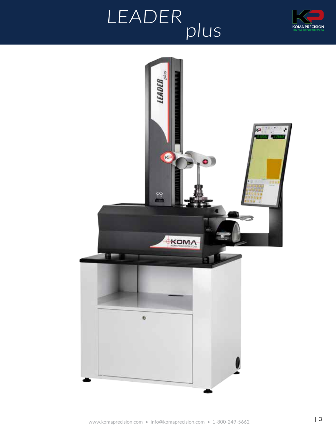

# LEADER<br>plus